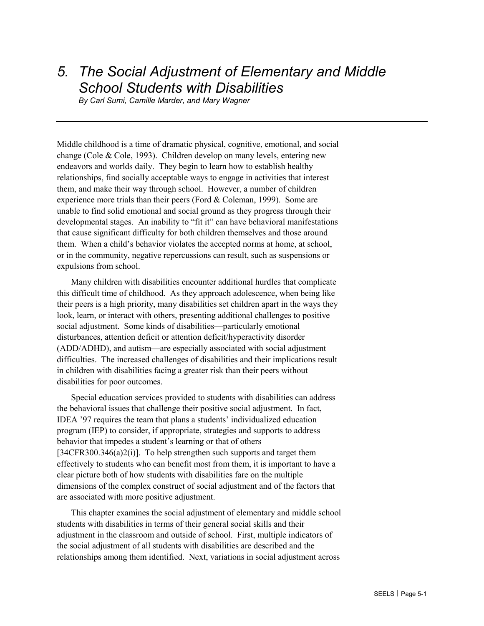# *5. The Social Adjustment of Elementary and Middle School Students with Disabilities*

*By Carl Sumi, Camille Marder, and Mary Wagner* 

Middle childhood is a time of dramatic physical, cognitive, emotional, and social change (Cole & Cole, 1993). Children develop on many levels, entering new endeavors and worlds daily. They begin to learn how to establish healthy relationships, find socially acceptable ways to engage in activities that interest them, and make their way through school. However, a number of children experience more trials than their peers (Ford & Coleman, 1999). Some are unable to find solid emotional and social ground as they progress through their developmental stages. An inability to "fit it" can have behavioral manifestations that cause significant difficulty for both children themselves and those around them. When a child's behavior violates the accepted norms at home, at school, or in the community, negative repercussions can result, such as suspensions or expulsions from school.

Many children with disabilities encounter additional hurdles that complicate this difficult time of childhood. As they approach adolescence, when being like their peers is a high priority, many disabilities set children apart in the ways they look, learn, or interact with others, presenting additional challenges to positive social adjustment. Some kinds of disabilities—particularly emotional disturbances, attention deficit or attention deficit/hyperactivity disorder (ADD/ADHD), and autism—are especially associated with social adjustment difficulties. The increased challenges of disabilities and their implications result in children with disabilities facing a greater risk than their peers without disabilities for poor outcomes.

Special education services provided to students with disabilities can address the behavioral issues that challenge their positive social adjustment. In fact, IDEA '97 requires the team that plans a students' individualized education program (IEP) to consider, if appropriate, strategies and supports to address behavior that impedes a student's learning or that of others [34CFR300.346(a)2(i)]. To help strengthen such supports and target them effectively to students who can benefit most from them, it is important to have a clear picture both of how students with disabilities fare on the multiple dimensions of the complex construct of social adjustment and of the factors that are associated with more positive adjustment.

This chapter examines the social adjustment of elementary and middle school students with disabilities in terms of their general social skills and their adjustment in the classroom and outside of school. First, multiple indicators of the social adjustment of all students with disabilities are described and the relationships among them identified. Next, variations in social adjustment across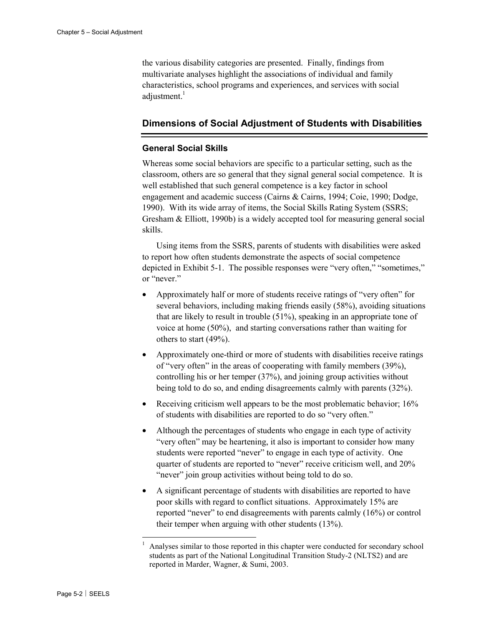the various disability categories are presented. Finally, findings from multivariate analyses highlight the associations of individual and family characteristics, school programs and experiences, and services with social adjustment.<sup>1</sup>

## **Dimensions of Social Adjustment of Students with Disabilities**

### **General Social Skills**

Whereas some social behaviors are specific to a particular setting, such as the classroom, others are so general that they signal general social competence. It is well established that such general competence is a key factor in school engagement and academic success (Cairns & Cairns, 1994; Coie, 1990; Dodge, 1990). With its wide array of items, the Social Skills Rating System (SSRS; Gresham & Elliott, 1990b) is a widely accepted tool for measuring general social skills.

Using items from the SSRS, parents of students with disabilities were asked to report how often students demonstrate the aspects of social competence depicted in Exhibit 5-1. The possible responses were "very often," "sometimes," or "never."

- Approximately half or more of students receive ratings of "very often" for several behaviors, including making friends easily (58%), avoiding situations that are likely to result in trouble (51%), speaking in an appropriate tone of voice at home (50%), and starting conversations rather than waiting for others to start (49%).
- Approximately one-third or more of students with disabilities receive ratings of "very often" in the areas of cooperating with family members (39%), controlling his or her temper (37%), and joining group activities without being told to do so, and ending disagreements calmly with parents (32%).
- Receiving criticism well appears to be the most problematic behavior; 16% of students with disabilities are reported to do so "very often."
- Although the percentages of students who engage in each type of activity "very often" may be heartening, it also is important to consider how many students were reported "never" to engage in each type of activity. One quarter of students are reported to "never" receive criticism well, and 20% "never" join group activities without being told to do so.
- A significant percentage of students with disabilities are reported to have poor skills with regard to conflict situations. Approximately 15% are reported "never" to end disagreements with parents calmly (16%) or control their temper when arguing with other students (13%).

1

<sup>1</sup> Analyses similar to those reported in this chapter were conducted for secondary school students as part of the National Longitudinal Transition Study-2 (NLTS2) and are reported in Marder, Wagner, & Sumi, 2003.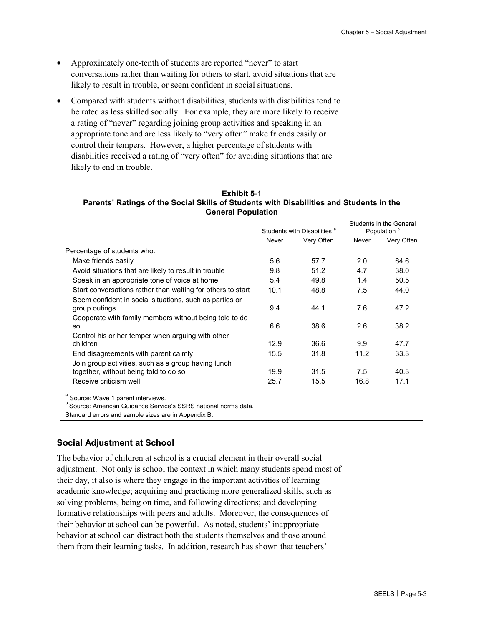- Approximately one-tenth of students are reported "never" to start conversations rather than waiting for others to start, avoid situations that are likely to result in trouble, or seem confident in social situations.
- Compared with students without disabilities, students with disabilities tend to be rated as less skilled socially. For example, they are more likely to receive a rating of "never" regarding joining group activities and speaking in an appropriate tone and are less likely to "very often" make friends easily or control their tempers. However, a higher percentage of students with disabilities received a rating of "very often" for avoiding situations that are likely to end in trouble.

| Exhibit 5-1                                                                             |  |  |  |  |  |  |
|-----------------------------------------------------------------------------------------|--|--|--|--|--|--|
| Parents' Ratings of the Social Skills of Students with Disabilities and Students in the |  |  |  |  |  |  |
| <b>General Population</b>                                                               |  |  |  |  |  |  |

|                                                                                                                                    | Students with Disabilities <sup>a</sup> |            |       | Students in the General<br>Population <sup>o</sup> |
|------------------------------------------------------------------------------------------------------------------------------------|-----------------------------------------|------------|-------|----------------------------------------------------|
|                                                                                                                                    | Never                                   | Very Often | Never | Very Often                                         |
| Percentage of students who:                                                                                                        |                                         |            |       |                                                    |
| Make friends easily                                                                                                                | 5.6                                     | 57.7       | 2.0   | 64.6                                               |
| Avoid situations that are likely to result in trouble                                                                              | 9.8                                     | 51.2       | 4.7   | 38.0                                               |
| Speak in an appropriate tone of voice at home                                                                                      | 5.4                                     | 49.8       | 1.4   | 50.5                                               |
| Start conversations rather than waiting for others to start                                                                        | 10.1                                    | 48.8       | 7.5   | 44.0                                               |
| Seem confident in social situations, such as parties or<br>group outings<br>Cooperate with family members without being told to do | 9.4                                     | 44.1       | 7.6   | 47.2                                               |
| SO.                                                                                                                                | 6.6                                     | 38.6       | 2.6   | 38.2                                               |
| Control his or her temper when arguing with other<br>children                                                                      | 12.9                                    | 36.6       | 9.9   | 47.7                                               |
| End disagreements with parent calmly                                                                                               | 15.5                                    | 31.8       | 11.2  | 33.3                                               |
| Join group activities, such as a group having lunch<br>together, without being told to do so                                       | 19.9                                    | 31.5       | 7.5   | 40.3                                               |
| Receive criticism well                                                                                                             | 25.7                                    | 15.5       | 16.8  | 17.1                                               |
| <sup>a</sup> Source: Wave 1 parent interviews.<br><sup>b</sup> Source: American Guidance Service's SSRS national norms data.       |                                         |            |       |                                                    |

Standard errors and sample sizes are in Appendix B.

### **Social Adjustment at School**

The behavior of children at school is a crucial element in their overall social adjustment. Not only is school the context in which many students spend most of their day, it also is where they engage in the important activities of learning academic knowledge; acquiring and practicing more generalized skills, such as solving problems, being on time, and following directions; and developing formative relationships with peers and adults. Moreover, the consequences of their behavior at school can be powerful. As noted, students' inappropriate behavior at school can distract both the students themselves and those around them from their learning tasks. In addition, research has shown that teachers'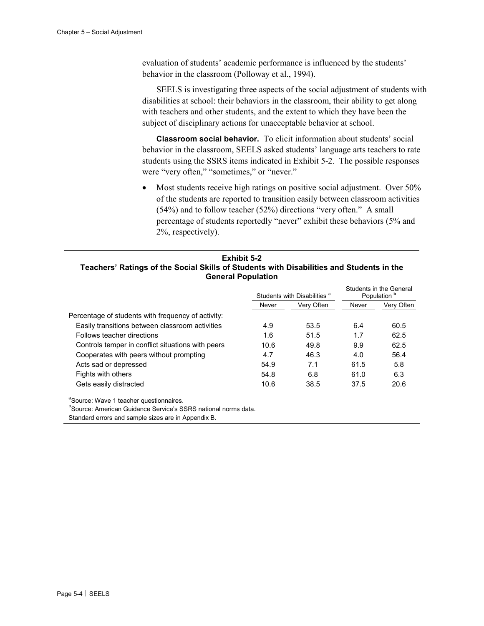evaluation of students' academic performance is influenced by the students' behavior in the classroom (Polloway et al., 1994).

SEELS is investigating three aspects of the social adjustment of students with disabilities at school: their behaviors in the classroom, their ability to get along with teachers and other students, and the extent to which they have been the subject of disciplinary actions for unacceptable behavior at school.

**Classroom social behavior.** To elicit information about students' social behavior in the classroom, SEELS asked students' language arts teachers to rate students using the SSRS items indicated in Exhibit 5-2. The possible responses were "very often," "sometimes," or "never."

• Most students receive high ratings on positive social adjustment. Over 50% of the students are reported to transition easily between classroom activities (54%) and to follow teacher (52%) directions "very often." A small percentage of students reportedly "never" exhibit these behaviors (5% and 2%, respectively).

### **Exhibit 5-2 Teachers' Ratings of the Social Skills of Students with Disabilities and Students in the General Population**

|                                                     |       | Students with Disabilities <sup>a</sup> |       | Students in the General<br>Population <sup>b</sup> |
|-----------------------------------------------------|-------|-----------------------------------------|-------|----------------------------------------------------|
|                                                     | Never | Very Often                              | Never | Very Often                                         |
| Percentage of students with frequency of activity:  |       |                                         |       |                                                    |
| Easily transitions between classroom activities     | 4.9   | 53.5                                    | 6.4   | 60.5                                               |
| Follows teacher directions                          | 1.6   | 51.5                                    | 1.7   | 62.5                                               |
| Controls temper in conflict situations with peers   | 10.6  | 49.8                                    | 9.9   | 62.5                                               |
| Cooperates with peers without prompting             | 4.7   | 46.3                                    | 4.0   | 56.4                                               |
| Acts sad or depressed                               | 54.9  | 7.1                                     | 61.5  | 5.8                                                |
| Fights with others                                  | 54.8  | 6.8                                     | 61.0  | 6.3                                                |
| Gets easily distracted                              | 10.6  | 38.5                                    | 37.5  | 20.6                                               |
| <sup>a</sup> Source: Wave 1 teacher questionnaires. |       |                                         |       |                                                    |

**b**Source: American Guidance Service's SSRS national norms data.

Standard errors and sample sizes are in Appendix B.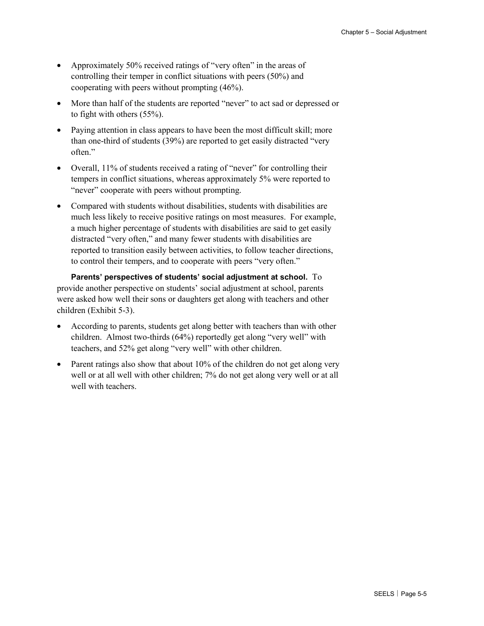- Approximately 50% received ratings of "very often" in the areas of controlling their temper in conflict situations with peers (50%) and cooperating with peers without prompting (46%).
- More than half of the students are reported "never" to act sad or depressed or to fight with others (55%).
- Paying attention in class appears to have been the most difficult skill; more than one-third of students (39%) are reported to get easily distracted "very often."
- Overall, 11% of students received a rating of "never" for controlling their tempers in conflict situations, whereas approximately 5% were reported to "never" cooperate with peers without prompting.
- Compared with students without disabilities, students with disabilities are much less likely to receive positive ratings on most measures. For example, a much higher percentage of students with disabilities are said to get easily distracted "very often," and many fewer students with disabilities are reported to transition easily between activities, to follow teacher directions, to control their tempers, and to cooperate with peers "very often."

**Parents' perspectives of students' social adjustment at school.** To provide another perspective on students' social adjustment at school, parents were asked how well their sons or daughters get along with teachers and other children (Exhibit 5-3).

- According to parents, students get along better with teachers than with other children. Almost two-thirds (64%) reportedly get along "very well" with teachers, and 52% get along "very well" with other children.
- Parent ratings also show that about 10% of the children do not get along very well or at all well with other children; 7% do not get along very well or at all well with teachers.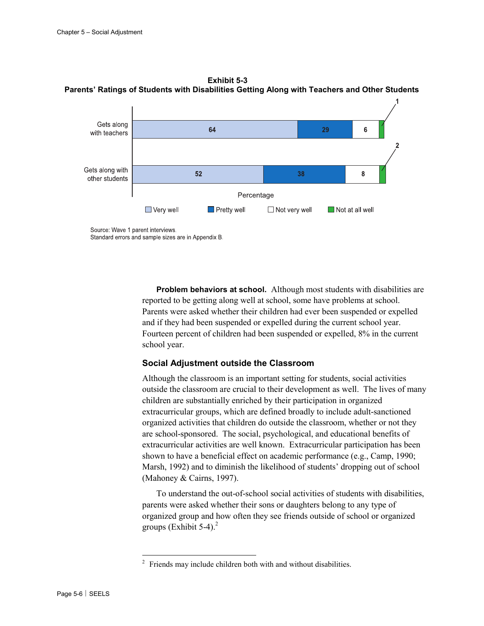

**Exhibit 5-3 Parents' Ratings of Students with Disabilities Getting Along with Teachers and Other Students** 

Standard errors and sample sizes are in Appendix B.

**Problem behaviors at school.** Although most students with disabilities are reported to be getting along well at school, some have problems at school. Parents were asked whether their children had ever been suspended or expelled and if they had been suspended or expelled during the current school year. Fourteen percent of children had been suspended or expelled, 8% in the current school year.

### **Social Adjustment outside the Classroom**

Although the classroom is an important setting for students, social activities outside the classroom are crucial to their development as well. The lives of many children are substantially enriched by their participation in organized extracurricular groups, which are defined broadly to include adult-sanctioned organized activities that children do outside the classroom, whether or not they are school-sponsored. The social, psychological, and educational benefits of extracurricular activities are well known. Extracurricular participation has been shown to have a beneficial effect on academic performance (e.g., Camp, 1990; Marsh, 1992) and to diminish the likelihood of students' dropping out of school (Mahoney & Cairns, 1997).

To understand the out-of-school social activities of students with disabilities, parents were asked whether their sons or daughters belong to any type of organized group and how often they see friends outside of school or organized groups (Exhibit  $5-4$ ).<sup>2</sup>

1

<sup>2</sup> Friends may include children both with and without disabilities.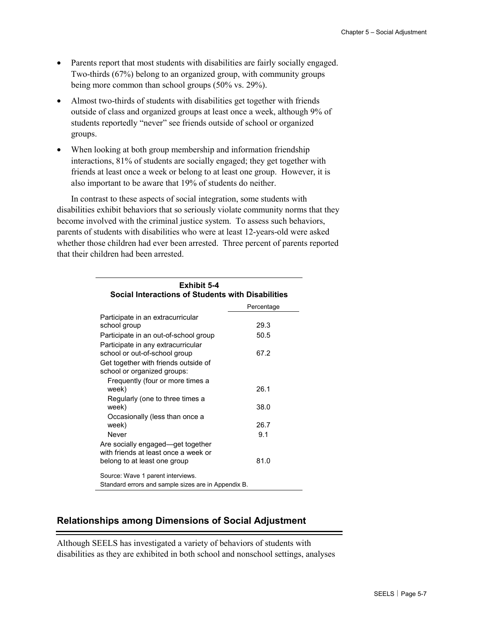- Parents report that most students with disabilities are fairly socially engaged. Two-thirds (67%) belong to an organized group, with community groups being more common than school groups (50% vs. 29%).
- Almost two-thirds of students with disabilities get together with friends outside of class and organized groups at least once a week, although 9% of students reportedly "never" see friends outside of school or organized groups.
- When looking at both group membership and information friendship interactions, 81% of students are socially engaged; they get together with friends at least once a week or belong to at least one group. However, it is also important to be aware that 19% of students do neither.

In contrast to these aspects of social integration, some students with disabilities exhibit behaviors that so seriously violate community norms that they become involved with the criminal justice system. To assess such behaviors, parents of students with disabilities who were at least 12-years-old were asked whether those children had ever been arrested. Three percent of parents reported that their children had been arrested.

| Exhibit 5-4<br>Social Interactions of Students with Disabilities    |            |
|---------------------------------------------------------------------|------------|
|                                                                     | Percentage |
| Participate in an extracurricular                                   |            |
| school group                                                        | 29.3       |
| Participate in an out-of-school group                               | 50.5       |
| Participate in any extracurricular                                  |            |
| school or out-of-school group                                       | 67.2       |
| Get together with friends outside of<br>school or organized groups: |            |
| Frequently (four or more times a                                    |            |
| week)                                                               | 26.1       |
| Regularly (one to three times a                                     |            |
| week)                                                               | 38.0       |
| Occasionally (less than once a                                      |            |
| week)                                                               | 26.7       |
| Never                                                               | 9.1        |
| Are socially engaged—get together                                   |            |
| with friends at least once a week or                                | 81.0       |
| belong to at least one group                                        |            |
| Source: Wave 1 parent interviews.                                   |            |
| Standard errors and sample sizes are in Appendix B.                 |            |

# **Relationships among Dimensions of Social Adjustment**

Although SEELS has investigated a variety of behaviors of students with disabilities as they are exhibited in both school and nonschool settings, analyses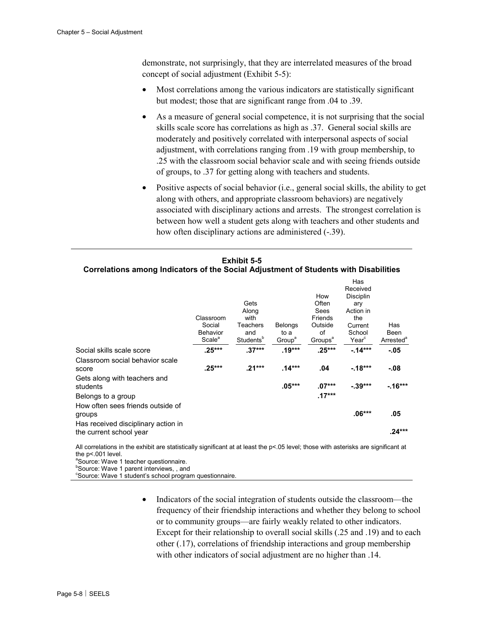demonstrate, not surprisingly, that they are interrelated measures of the broad concept of social adjustment (Exhibit 5-5):

- Most correlations among the various indicators are statistically significant but modest; those that are significant range from .04 to .39.
- As a measure of general social competence, it is not surprising that the social skills scale score has correlations as high as .37. General social skills are moderately and positively correlated with interpersonal aspects of social adjustment, with correlations ranging from .19 with group membership, to .25 with the classroom social behavior scale and with seeing friends outside of groups, to .37 for getting along with teachers and students.
- Positive aspects of social behavior (i.e., general social skills, the ability to get along with others, and appropriate classroom behaviors) are negatively associated with disciplinary actions and arrests. The strongest correlation is between how well a student gets along with teachers and other students and how often disciplinary actions are administered  $(-.39)$ .

|                                                                | Classroom<br>Social<br><b>Behavior</b><br>Scale <sup>a</sup> | Gets<br>Along<br>with<br>Teachers<br>and<br>Students <sup>b</sup> | <b>Belongs</b><br>to a<br>Group <sup>a</sup> | How<br>Often<br>Sees<br>Friends<br>Outside<br>of<br>Groups <sup>a</sup> | Has<br>Received<br>Disciplin<br>ary<br>Action in<br>the<br>Current<br>School<br>Year <sup>c</sup> | Has<br>Been<br>Arrested <sup>®</sup> |
|----------------------------------------------------------------|--------------------------------------------------------------|-------------------------------------------------------------------|----------------------------------------------|-------------------------------------------------------------------------|---------------------------------------------------------------------------------------------------|--------------------------------------|
| Social skills scale score                                      | $.25***$                                                     | $.37***$                                                          | $.19***$                                     | $.25***$                                                                | $-14***$                                                                                          | -.05                                 |
| Classroom social behavior scale<br>score                       | $.25***$                                                     | $.21***$                                                          | $.14***$                                     | .04                                                                     | $-18***$                                                                                          | -.08                                 |
| Gets along with teachers and<br>students<br>Belongs to a group |                                                              |                                                                   | $.05***$                                     | $.07***$<br>$.17***$                                                    | $-39***$                                                                                          | $-16***$                             |
| How often sees friends outside of<br>groups                    |                                                              |                                                                   |                                              |                                                                         | $.06***$                                                                                          | .05                                  |
| Has received disciplinary action in<br>the current school year |                                                              |                                                                   |                                              |                                                                         |                                                                                                   | $.24***$                             |

#### **Exhibit 5-5 Correlations among Indicators of the Social Adjustment of Students with Disabilities**

All correlations in the exhibit are statistically significant at at least the p<.05 level; those with asterisks are significant at the p<.001 level.

a Source: Wave 1 teacher questionnaire.

**Source: Wave 1 parent interviews, , and** 

<sup>c</sup>Source: Wave 1 student's school program questionnaire.

• Indicators of the social integration of students outside the classroom—the frequency of their friendship interactions and whether they belong to school or to community groups—are fairly weakly related to other indicators. Except for their relationship to overall social skills (.25 and .19) and to each other (.17), correlations of friendship interactions and group membership with other indicators of social adjustment are no higher than .14.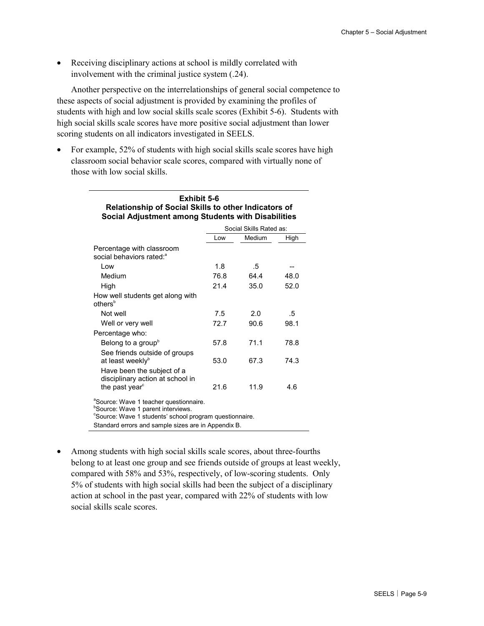• Receiving disciplinary actions at school is mildly correlated with involvement with the criminal justice system (.24).

Another perspective on the interrelationships of general social competence to these aspects of social adjustment is provided by examining the profiles of students with high and low social skills scale scores (Exhibit 5-6). Students with high social skills scale scores have more positive social adjustment than lower scoring students on all indicators investigated in SEELS.

• For example, 52% of students with high social skills scale scores have high classroom social behavior scale scores, compared with virtually none of those with low social skills.

| Exhibit 5-6<br><b>Relationship of Social Skills to other Indicators of</b><br>Social Adjustment among Students with Disabilities                                                                                       |      |                         |      |  |  |  |  |
|------------------------------------------------------------------------------------------------------------------------------------------------------------------------------------------------------------------------|------|-------------------------|------|--|--|--|--|
|                                                                                                                                                                                                                        |      | Social Skills Rated as: |      |  |  |  |  |
|                                                                                                                                                                                                                        | Low  | Medium                  | High |  |  |  |  |
| Percentage with classroom<br>social behaviors rated: <sup>a</sup>                                                                                                                                                      |      |                         |      |  |  |  |  |
| l ow                                                                                                                                                                                                                   | 1.8  | .5                      |      |  |  |  |  |
| Medium                                                                                                                                                                                                                 | 76.8 | 64.4                    | 48.0 |  |  |  |  |
| High                                                                                                                                                                                                                   | 21.4 | 35.0                    | 52.0 |  |  |  |  |
| How well students get along with<br>others <sup>b</sup>                                                                                                                                                                |      |                         |      |  |  |  |  |
| Not well                                                                                                                                                                                                               | 7.5  | 2.0                     | .5   |  |  |  |  |
| Well or very well                                                                                                                                                                                                      | 72.7 | 90.6                    | 98.1 |  |  |  |  |
| Percentage who:                                                                                                                                                                                                        |      |                         |      |  |  |  |  |
| Belong to a group <sup>b</sup>                                                                                                                                                                                         | 57.8 | 71.1                    | 78.8 |  |  |  |  |
| See friends outside of groups<br>at least weeklyb                                                                                                                                                                      | 53.0 | 67.3                    | 74.3 |  |  |  |  |
| Have been the subject of a<br>disciplinary action at school in<br>the past year <sup>c</sup>                                                                                                                           | 21.6 | 11.9                    | 4.6  |  |  |  |  |
| <sup>a</sup> Source: Wave 1 teacher questionnaire.<br><sup>b</sup> Source: Wave 1 parent interviews.<br>"Source: Wave 1 students' school program questionnaire.<br>Standard errors and sample sizes are in Appendix B. |      |                         |      |  |  |  |  |

• Among students with high social skills scale scores, about three-fourths belong to at least one group and see friends outside of groups at least weekly, compared with 58% and 53%, respectively, of low-scoring students. Only 5% of students with high social skills had been the subject of a disciplinary action at school in the past year, compared with 22% of students with low social skills scale scores.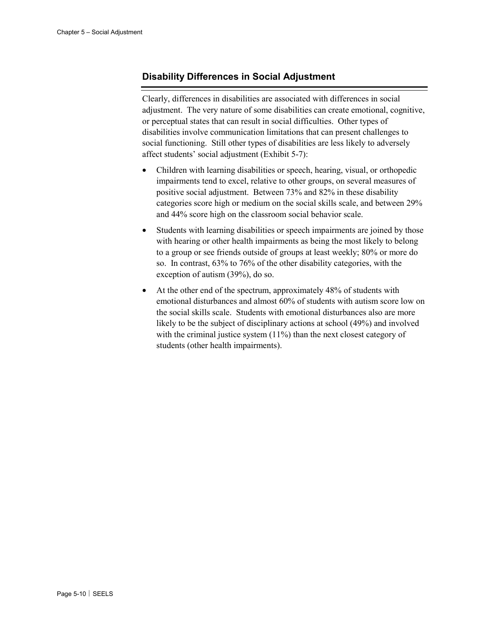# **Disability Differences in Social Adjustment**

Clearly, differences in disabilities are associated with differences in social adjustment. The very nature of some disabilities can create emotional, cognitive, or perceptual states that can result in social difficulties. Other types of disabilities involve communication limitations that can present challenges to social functioning. Still other types of disabilities are less likely to adversely affect students' social adjustment (Exhibit 5-7):

- Children with learning disabilities or speech, hearing, visual, or orthopedic impairments tend to excel, relative to other groups, on several measures of positive social adjustment. Between 73% and 82% in these disability categories score high or medium on the social skills scale, and between 29% and 44% score high on the classroom social behavior scale.
- Students with learning disabilities or speech impairments are joined by those with hearing or other health impairments as being the most likely to belong to a group or see friends outside of groups at least weekly; 80% or more do so. In contrast, 63% to 76% of the other disability categories, with the exception of autism (39%), do so.
- At the other end of the spectrum, approximately 48% of students with emotional disturbances and almost 60% of students with autism score low on the social skills scale. Students with emotional disturbances also are more likely to be the subject of disciplinary actions at school (49%) and involved with the criminal justice system (11%) than the next closest category of students (other health impairments).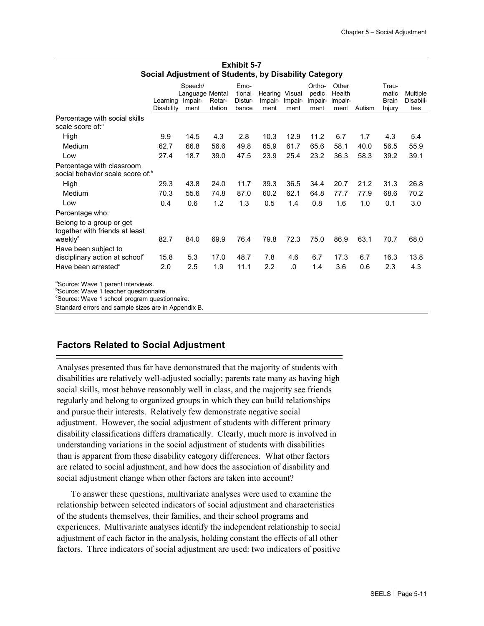|                                                                                                      | Learning<br>Disability | Speech/<br>Language Mental<br>Impair-<br>ment | Retar-<br>dation | Emo-<br>tional<br>Distur-<br>bance | Hearing Visual<br>Impair-<br>ment | Impair-<br>ment | Ortho-<br>pedic<br>Impair-<br>ment | Other<br>Health<br>Impair-<br>ment | Autism | Trau-<br>matic<br><b>Brain</b> | Multiple<br>Disabili-<br>ties |
|------------------------------------------------------------------------------------------------------|------------------------|-----------------------------------------------|------------------|------------------------------------|-----------------------------------|-----------------|------------------------------------|------------------------------------|--------|--------------------------------|-------------------------------|
|                                                                                                      |                        |                                               |                  |                                    |                                   |                 |                                    |                                    |        | Injury                         |                               |
| Percentage with social skills<br>scale score of: <sup>a</sup>                                        |                        |                                               |                  |                                    |                                   |                 |                                    |                                    |        |                                |                               |
| High                                                                                                 | 9.9                    | 14.5                                          | 4.3              | 2.8                                | 10.3                              | 12.9            | 11.2                               | 6.7                                | 1.7    | 4.3                            | 5.4                           |
| Medium                                                                                               | 62.7                   | 66.8                                          | 56.6             | 49.8                               | 65.9                              | 61.7            | 65.6                               | 58.1                               | 40.0   | 56.5                           | 55.9                          |
| Low                                                                                                  | 27.4                   | 18.7                                          | 39.0             | 47.5                               | 23.9                              | 25.4            | 23.2                               | 36.3                               | 58.3   | 39.2                           | 39.1                          |
| Percentage with classroom<br>social behavior scale score of: <sup>b</sup>                            |                        |                                               |                  |                                    |                                   |                 |                                    |                                    |        |                                |                               |
| High                                                                                                 | 29.3                   | 43.8                                          | 24.0             | 11.7                               | 39.3                              | 36.5            | 34.4                               | 20.7                               | 21.2   | 31.3                           | 26.8                          |
| Medium                                                                                               | 70.3                   | 55.6                                          | 74.8             | 87.0                               | 60.2                              | 62.1            | 64.8                               | 77.7                               | 77.9   | 68.6                           | 70.2                          |
| Low                                                                                                  | 0.4                    | 0.6                                           | 1.2              | 1.3                                | 0.5                               | 1.4             | 0.8                                | 1.6                                | 1.0    | 0.1                            | 3.0                           |
| Percentage who:                                                                                      |                        |                                               |                  |                                    |                                   |                 |                                    |                                    |        |                                |                               |
| Belong to a group or get<br>together with friends at least                                           |                        |                                               |                  |                                    |                                   |                 |                                    |                                    |        |                                |                               |
| weekly <sup>a</sup>                                                                                  | 82.7                   | 84.0                                          | 69.9             | 76.4                               | 79.8                              | 72.3            | 75.0                               | 86.9                               | 63.1   | 70.7                           | 68.0                          |
| Have been subject to                                                                                 |                        |                                               |                  |                                    |                                   |                 |                                    |                                    |        |                                |                               |
| disciplinary action at school <sup>c</sup>                                                           | 15.8                   | 5.3                                           | 17.0             | 48.7                               | 7.8                               | 4.6             | 6.7                                | 17.3                               | 6.7    | 16.3                           | 13.8                          |
| Have been arrested <sup>a</sup>                                                                      | 2.0                    | 2.5                                           | 1.9              | 11.1                               | 2.2                               | .0              | 1.4                                | 3.6                                | 0.6    | 2.3                            | 4.3                           |
| <sup>a</sup> Source: Wave 1 parent interviews.<br><sup>b</sup> Source: Wave 1 teacher questionnaire. |                        |                                               |                  |                                    |                                   |                 |                                    |                                    |        |                                |                               |

#### **Exhibit 5-7 Social Adjustment of Students, by Disability Category**

<sup>c</sup>Source: Wave 1 school program questionnaire.

Standard errors and sample sizes are in Appendix B.

# **Factors Related to Social Adjustment**

Analyses presented thus far have demonstrated that the majority of students with disabilities are relatively well-adjusted socially; parents rate many as having high social skills, most behave reasonably well in class, and the majority see friends regularly and belong to organized groups in which they can build relationships and pursue their interests. Relatively few demonstrate negative social adjustment. However, the social adjustment of students with different primary disability classifications differs dramatically. Clearly, much more is involved in understanding variations in the social adjustment of students with disabilities than is apparent from these disability category differences. What other factors are related to social adjustment, and how does the association of disability and social adjustment change when other factors are taken into account?

To answer these questions, multivariate analyses were used to examine the relationship between selected indicators of social adjustment and characteristics of the students themselves, their families, and their school programs and experiences. Multivariate analyses identify the independent relationship to social adjustment of each factor in the analysis, holding constant the effects of all other factors. Three indicators of social adjustment are used: two indicators of positive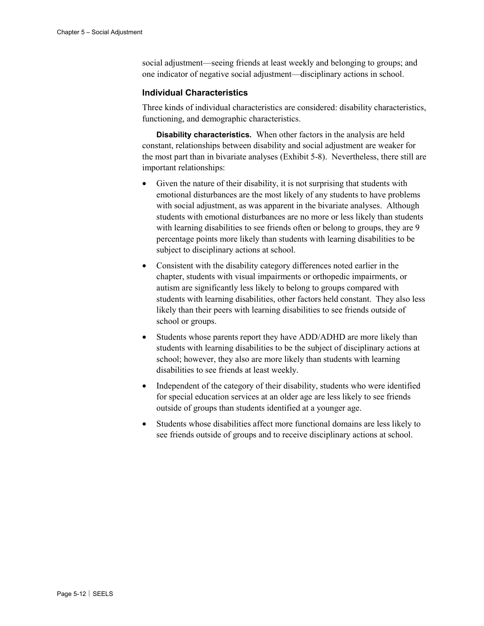social adjustment—seeing friends at least weekly and belonging to groups; and one indicator of negative social adjustment—disciplinary actions in school.

### **Individual Characteristics**

Three kinds of individual characteristics are considered: disability characteristics, functioning, and demographic characteristics.

**Disability characteristics.** When other factors in the analysis are held constant, relationships between disability and social adjustment are weaker for the most part than in bivariate analyses (Exhibit 5-8). Nevertheless, there still are important relationships:

- Given the nature of their disability, it is not surprising that students with emotional disturbances are the most likely of any students to have problems with social adjustment, as was apparent in the bivariate analyses. Although students with emotional disturbances are no more or less likely than students with learning disabilities to see friends often or belong to groups, they are 9 percentage points more likely than students with learning disabilities to be subject to disciplinary actions at school.
- Consistent with the disability category differences noted earlier in the chapter, students with visual impairments or orthopedic impairments, or autism are significantly less likely to belong to groups compared with students with learning disabilities, other factors held constant. They also less likely than their peers with learning disabilities to see friends outside of school or groups.
- Students whose parents report they have ADD/ADHD are more likely than students with learning disabilities to be the subject of disciplinary actions at school; however, they also are more likely than students with learning disabilities to see friends at least weekly.
- Independent of the category of their disability, students who were identified for special education services at an older age are less likely to see friends outside of groups than students identified at a younger age.
- Students whose disabilities affect more functional domains are less likely to see friends outside of groups and to receive disciplinary actions at school.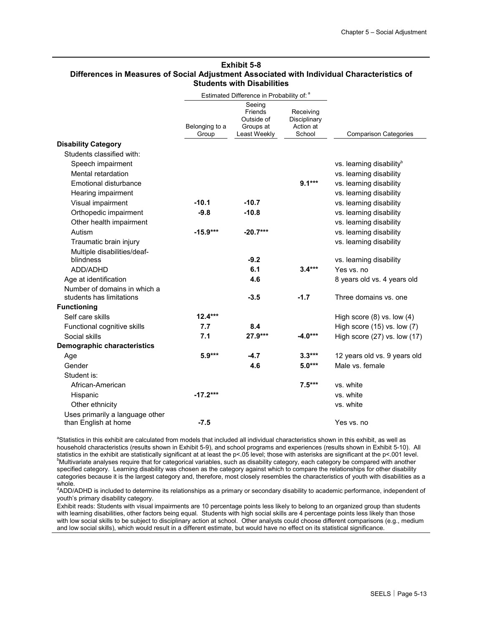#### **Exhibit 5-8 Differences in Measures of Social Adjustment Associated with Individual Characteristics of Students with Disabilities**

|                                                          |                         | Estimated Difference in Probability of: a                    |                                                  |                                      |
|----------------------------------------------------------|-------------------------|--------------------------------------------------------------|--------------------------------------------------|--------------------------------------|
|                                                          | Belonging to a<br>Group | Seeing<br>Friends<br>Outside of<br>Groups at<br>Least Weekly | Receiving<br>Disciplinary<br>Action at<br>School | <b>Comparison Categories</b>         |
| <b>Disability Category</b>                               |                         |                                                              |                                                  |                                      |
| Students classified with:                                |                         |                                                              |                                                  |                                      |
| Speech impairment                                        |                         |                                                              |                                                  | vs. learning disability <sup>b</sup> |
| Mental retardation                                       |                         |                                                              |                                                  | vs. learning disability              |
| <b>Emotional disturbance</b>                             |                         |                                                              | $9.1***$                                         | vs. learning disability              |
| Hearing impairment                                       |                         |                                                              |                                                  | vs. learning disability              |
| Visual impairment                                        | $-10.1$                 | $-10.7$                                                      |                                                  | vs. learning disability              |
| Orthopedic impairment                                    | $-9.8$                  | $-10.8$                                                      |                                                  | vs. learning disability              |
| Other health impairment                                  |                         |                                                              |                                                  | vs. learning disability              |
| Autism                                                   | $-15.9***$              | $-20.7***$                                                   |                                                  | vs. learning disability              |
| Traumatic brain injury                                   |                         |                                                              |                                                  | vs. learning disability              |
| Multiple disabilities/deaf-                              |                         |                                                              |                                                  |                                      |
| blindness                                                |                         | $-9.2$                                                       |                                                  | vs. learning disability              |
| ADD/ADHD                                                 |                         | 6.1                                                          | $3.4***$                                         | Yes vs. no                           |
| Age at identification                                    |                         | 4.6                                                          |                                                  | 8 years old vs. 4 years old          |
| Number of domains in which a<br>students has limitations |                         | $-3.5$                                                       | $-1.7$                                           | Three domains vs. one                |
| <b>Functioning</b>                                       |                         |                                                              |                                                  |                                      |
| Self care skills                                         | $12.4***$               |                                                              |                                                  | High score $(8)$ vs. low $(4)$       |
| Functional cognitive skills                              | 7.7                     | 8.4                                                          |                                                  | High score (15) vs. low (7)          |
| Social skills                                            | 7.1                     | $27.9***$                                                    | $-4.0***$                                        | High score (27) vs. low (17)         |
| <b>Demographic characteristics</b>                       |                         |                                                              |                                                  |                                      |
| Age                                                      | $5.9***$                | $-4.7$                                                       | $3.3***$                                         | 12 years old vs. 9 years old         |
| Gender                                                   |                         | 4.6                                                          | $5.0***$                                         | Male vs. female                      |
| Student is:                                              |                         |                                                              |                                                  |                                      |
| African-American                                         |                         |                                                              | $7.5***$                                         | vs. white                            |
| Hispanic                                                 | $-17.2***$              |                                                              |                                                  | vs. white                            |
| Other ethnicity                                          |                         |                                                              |                                                  | vs. white                            |
| Uses primarily a language other<br>than English at home  | $-7.5$                  |                                                              |                                                  | Yes vs. no                           |

<sup>a</sup>Statistics in this exhibit are calculated from models that included all individual characteristics shown in this exhibit, as well as household characteristics (results shown in Exhibit 5-9), and school programs and experiences (results shown in Exhibit 5-10). All statistics in the exhibit are statistically significant at at least the  $p<05$  level; those with asterisks are significant at the  $p<001$  level. <sup>b</sup>Multivariate analyses require that for categorical variables, such as disability category, each category be compared with another specified category. Learning disability was chosen as the category against which to compare the relationships for other disability categories because it is the largest category and, therefore, most closely resembles the characteristics of youth with disabilities as a whole.

<sup>d</sup>ADD/ADHD is included to determine its relationships as a primary or secondary disability to academic performance, independent of youth's primary disability category.

Exhibit reads: Students with visual impairments are 10 percentage points less likely to belong to an organized group than students with learning disabilities, other factors being equal. Students with high social skills are 4 percentage points less likely than those with low social skills to be subject to disciplinary action at school. Other analysts could choose different comparisons (e.g., medium and low social skills), which would result in a different estimate, but would have no effect on its statistical significance.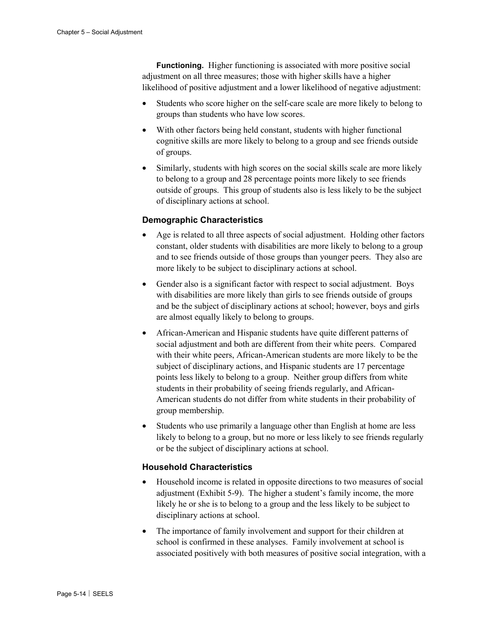**Functioning.** Higher functioning is associated with more positive social adjustment on all three measures; those with higher skills have a higher likelihood of positive adjustment and a lower likelihood of negative adjustment:

- Students who score higher on the self-care scale are more likely to belong to groups than students who have low scores.
- With other factors being held constant, students with higher functional cognitive skills are more likely to belong to a group and see friends outside of groups.
- Similarly, students with high scores on the social skills scale are more likely to belong to a group and 28 percentage points more likely to see friends outside of groups. This group of students also is less likely to be the subject of disciplinary actions at school.

### **Demographic Characteristics**

- Age is related to all three aspects of social adjustment. Holding other factors constant, older students with disabilities are more likely to belong to a group and to see friends outside of those groups than younger peers. They also are more likely to be subject to disciplinary actions at school.
- Gender also is a significant factor with respect to social adjustment. Boys with disabilities are more likely than girls to see friends outside of groups and be the subject of disciplinary actions at school; however, boys and girls are almost equally likely to belong to groups.
- African-American and Hispanic students have quite different patterns of social adjustment and both are different from their white peers. Compared with their white peers, African-American students are more likely to be the subject of disciplinary actions, and Hispanic students are 17 percentage points less likely to belong to a group. Neither group differs from white students in their probability of seeing friends regularly, and African-American students do not differ from white students in their probability of group membership.
- Students who use primarily a language other than English at home are less likely to belong to a group, but no more or less likely to see friends regularly or be the subject of disciplinary actions at school.

### **Household Characteristics**

- Household income is related in opposite directions to two measures of social adjustment (Exhibit 5-9). The higher a student's family income, the more likely he or she is to belong to a group and the less likely to be subject to disciplinary actions at school.
- The importance of family involvement and support for their children at school is confirmed in these analyses. Family involvement at school is associated positively with both measures of positive social integration, with a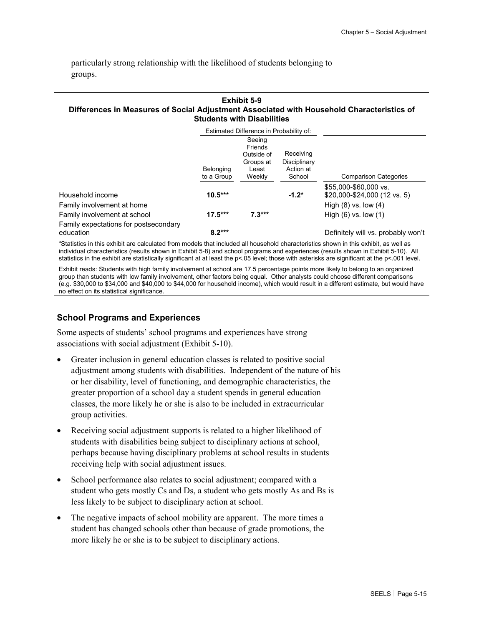particularly strong relationship with the likelihood of students belonging to groups.

#### **Exhibit 5-9 Differences in Measures of Social Adjustment Associated with Household Characteristics of Students with Disabilities**

|                                                    |                         | Estimated Difference in Probability of:                         |                                                  |                                                       |
|----------------------------------------------------|-------------------------|-----------------------------------------------------------------|--------------------------------------------------|-------------------------------------------------------|
|                                                    | Belonging<br>to a Group | Seeing<br>Friends<br>Outside of<br>Groups at<br>Least<br>Weekly | Receiving<br>Disciplinary<br>Action at<br>School | <b>Comparison Categories</b>                          |
| Household income                                   | $10.5***$               |                                                                 | $-1.2*$                                          | \$55,000-\$60,000 vs.<br>\$20,000-\$24,000 (12 vs. 5) |
| Family involvement at home                         |                         |                                                                 |                                                  | High $(8)$ vs. low $(4)$                              |
| Family involvement at school                       | $17.5***$               | $7.3***$                                                        |                                                  | High $(6)$ vs. low $(1)$                              |
| Family expectations for postsecondary<br>education | $8.2***$                |                                                                 |                                                  | Definitely will vs. probably won't                    |

<sup>a</sup>Statistics in this exhibit are calculated from models that included all household characteristics shown in this exhibit, as well as individual characteristics (results shown in Exhibit 5-8) and school programs and experiences (results shown in Exhibit 5-10). All statistics in the exhibit are statistically significant at at least the p<.05 level; those with asterisks are significant at the p<.001 level.

Exhibit reads: Students with high family involvement at school are 17.5 percentage points more likely to belong to an organized group than students with low family involvement, other factors being equal. Other analysts could choose different comparisons (e.g. \$30,000 to \$34,000 and \$40,000 to \$44,000 for household income), which would result in a different estimate, but would have no effect on its statistical significance.

### **School Programs and Experiences**

Some aspects of students' school programs and experiences have strong associations with social adjustment (Exhibit 5-10).

- Greater inclusion in general education classes is related to positive social adjustment among students with disabilities. Independent of the nature of his or her disability, level of functioning, and demographic characteristics, the greater proportion of a school day a student spends in general education classes, the more likely he or she is also to be included in extracurricular group activities.
- Receiving social adjustment supports is related to a higher likelihood of students with disabilities being subject to disciplinary actions at school, perhaps because having disciplinary problems at school results in students receiving help with social adjustment issues.
- School performance also relates to social adjustment; compared with a student who gets mostly Cs and Ds, a student who gets mostly As and Bs is less likely to be subject to disciplinary action at school.
- The negative impacts of school mobility are apparent. The more times a student has changed schools other than because of grade promotions, the more likely he or she is to be subject to disciplinary actions.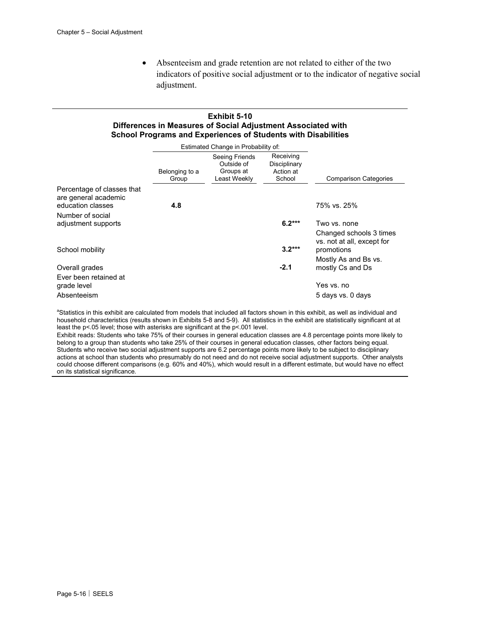• Absenteeism and grade retention are not related to either of the two indicators of positive social adjustment or to the indicator of negative social adjustment.

### **Exhibit 5-10 Differences in Measures of Social Adjustment Associated with School Programs and Experiences of Students with Disabilities**

|                                                                         |                         | Estimated Change in Probability of:                       |                                                  |                                                       |
|-------------------------------------------------------------------------|-------------------------|-----------------------------------------------------------|--------------------------------------------------|-------------------------------------------------------|
|                                                                         | Belonging to a<br>Group | Seeing Friends<br>Outside of<br>Groups at<br>Least Weekly | Receiving<br>Disciplinary<br>Action at<br>School | <b>Comparison Categories</b>                          |
| Percentage of classes that<br>are general academic<br>education classes | 4.8                     |                                                           |                                                  | 75% vs. 25%                                           |
| Number of social                                                        |                         |                                                           |                                                  |                                                       |
| adjustment supports                                                     |                         |                                                           | $6.2***$                                         | Two vs. none                                          |
|                                                                         |                         |                                                           |                                                  | Changed schools 3 times<br>vs. not at all, except for |
| School mobility                                                         |                         |                                                           | $3.2***$                                         | promotions                                            |
| Overall grades                                                          |                         |                                                           | $-2.1$                                           | Mostly As and Bs vs.<br>mostly Cs and Ds              |
| Ever been retained at                                                   |                         |                                                           |                                                  |                                                       |
| grade level                                                             |                         |                                                           |                                                  | Yes vs. no                                            |
| Absenteeism                                                             |                         |                                                           |                                                  | 5 days vs. 0 days                                     |

<sup>a</sup>Statistics in this exhibit are calculated from models that included all factors shown in this exhibit, as well as individual and household characteristics (results shown in Exhibits 5-8 and 5-9). All statistics in the exhibit are statistically significant at at least the p<.05 level; those with asterisks are significant at the p<.001 level.

Exhibit reads: Students who take 75% of their courses in general education classes are 4.8 percentage points more likely to belong to a group than students who take 25% of their courses in general education classes, other factors being equal. Students who receive two social adjustment supports are 6.2 percentage points more likely to be subject to disciplinary actions at school than students who presumably do not need and do not receive social adjustment supports. Other analysts could choose different comparisons (e.g. 60% and 40%), which would result in a different estimate, but would have no effect on its statistical significance.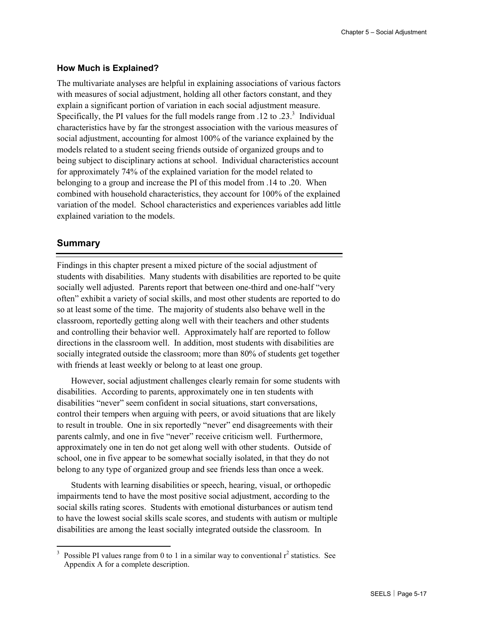### **How Much is Explained?**

The multivariate analyses are helpful in explaining associations of various factors with measures of social adjustment, holding all other factors constant, and they explain a significant portion of variation in each social adjustment measure. Specifically, the PI values for the full models range from  $.12$  to  $.23<sup>3</sup>$  Individual characteristics have by far the strongest association with the various measures of social adjustment, accounting for almost 100% of the variance explained by the models related to a student seeing friends outside of organized groups and to being subject to disciplinary actions at school. Individual characteristics account for approximately 74% of the explained variation for the model related to belonging to a group and increase the PI of this model from .14 to .20. When combined with household characteristics, they account for 100% of the explained variation of the model. School characteristics and experiences variables add little explained variation to the models.

### **Summary**

Findings in this chapter present a mixed picture of the social adjustment of students with disabilities. Many students with disabilities are reported to be quite socially well adjusted. Parents report that between one-third and one-half "very often" exhibit a variety of social skills, and most other students are reported to do so at least some of the time. The majority of students also behave well in the classroom, reportedly getting along well with their teachers and other students and controlling their behavior well. Approximately half are reported to follow directions in the classroom well. In addition, most students with disabilities are socially integrated outside the classroom; more than 80% of students get together with friends at least weekly or belong to at least one group.

However, social adjustment challenges clearly remain for some students with disabilities. According to parents, approximately one in ten students with disabilities "never" seem confident in social situations, start conversations, control their tempers when arguing with peers, or avoid situations that are likely to result in trouble. One in six reportedly "never" end disagreements with their parents calmly, and one in five "never" receive criticism well. Furthermore, approximately one in ten do not get along well with other students. Outside of school, one in five appear to be somewhat socially isolated, in that they do not belong to any type of organized group and see friends less than once a week.

Students with learning disabilities or speech, hearing, visual, or orthopedic impairments tend to have the most positive social adjustment, according to the social skills rating scores. Students with emotional disturbances or autism tend to have the lowest social skills scale scores, and students with autism or multiple disabilities are among the least socially integrated outside the classroom. In

<sup>&</sup>lt;sup>3</sup> Possible PI values range from 0 to 1 in a similar way to conventional  $r^2$  statistics. See Appendix A for a complete description.